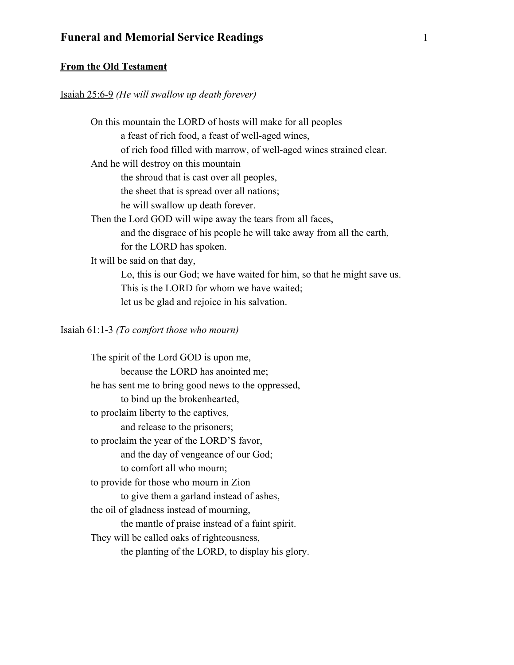### **From the Old Testament**

### Isaiah 25:6-9 *(He will swallow up death forever)*

On this mountain the LORD of hosts will make for all peoples a feast of rich food, a feast of well-aged wines, of rich food filled with marrow, of well-aged wines strained clear. And he will destroy on this mountain the shroud that is cast over all peoples, the sheet that is spread over all nations; he will swallow up death forever. Then the Lord GOD will wipe away the tears from all faces, and the disgrace of his people he will take away from all the earth, for the LORD has spoken. It will be said on that day, Lo, this is our God; we have waited for him, so that he might save us. This is the LORD for whom we have waited; let us be glad and rejoice in his salvation.

Isaiah 61:1-3 *(To comfort those who mourn)* 

The spirit of the Lord GOD is upon me, because the LORD has anointed me; he has sent me to bring good news to the oppressed, to bind up the brokenhearted, to proclaim liberty to the captives, and release to the prisoners; to proclaim the year of the LORD'S favor, and the day of vengeance of our God; to comfort all who mourn; to provide for those who mourn in Zion to give them a garland instead of ashes, the oil of gladness instead of mourning, the mantle of praise instead of a faint spirit. They will be called oaks of righteousness, the planting of the LORD, to display his glory.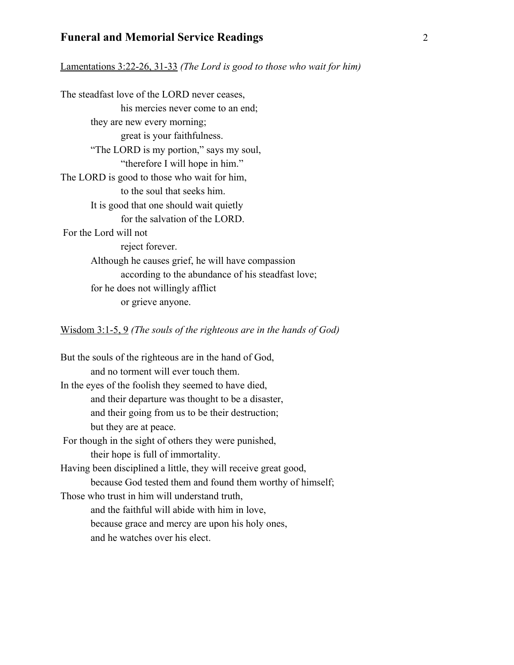Lamentations 3:22-26, 31-33 *(The Lord is good to those who wait for him)* 

The steadfast love of the LORD never ceases, his mercies never come to an end; they are new every morning; great is your faithfulness. "The LORD is my portion," says my soul, "therefore I will hope in him." The LORD is good to those who wait for him, to the soul that seeks him. It is good that one should wait quietly for the salvation of the LORD. For the Lord will not reject forever. Although he causes grief, he will have compassion according to the abundance of his steadfast love; for he does not willingly afflict or grieve anyone.

Wisdom 3:1-5, 9 *(The souls of the righteous are in the hands of God)* 

But the souls of the righteous are in the hand of God, and no torment will ever touch them. In the eyes of the foolish they seemed to have died, and their departure was thought to be a disaster, and their going from us to be their destruction; but they are at peace. For though in the sight of others they were punished, their hope is full of immortality. Having been disciplined a little, they will receive great good, because God tested them and found them worthy of himself; Those who trust in him will understand truth, and the faithful will abide with him in love, because grace and mercy are upon his holy ones, and he watches over his elect.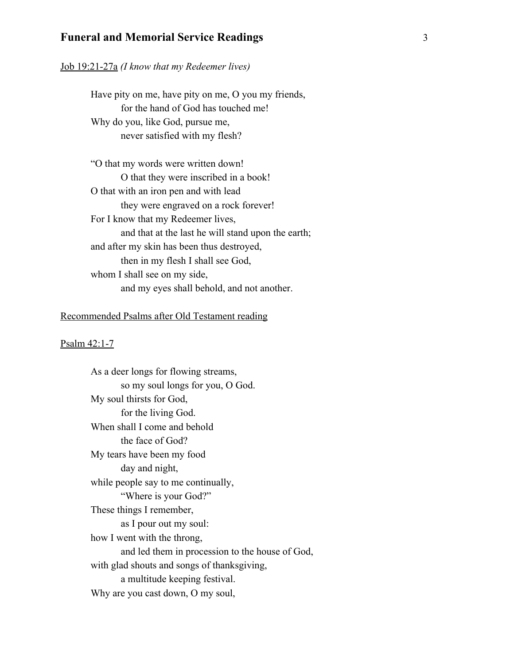#### Job 19:21-27a *(I know that my Redeemer lives)*

Have pity on me, have pity on me, O you my friends, for the hand of God has touched me! Why do you, like God, pursue me, never satisfied with my flesh?

"O that my words were written down! O that they were inscribed in a book! O that with an iron pen and with lead they were engraved on a rock forever! For I know that my Redeemer lives, and that at the last he will stand upon the earth; and after my skin has been thus destroyed, then in my flesh I shall see God, whom I shall see on my side, and my eyes shall behold, and not another.

### Recommended Psalms after Old Testament reading

#### Psalm 42:1-7

As a deer longs for flowing streams, so my soul longs for you, O God. My soul thirsts for God, for the living God. When shall I come and behold the face of God? My tears have been my food day and night, while people say to me continually, "Where is your God?" These things I remember, as I pour out my soul: how I went with the throng, and led them in procession to the house of God, with glad shouts and songs of thanksgiving, a multitude keeping festival. Why are you cast down, O my soul,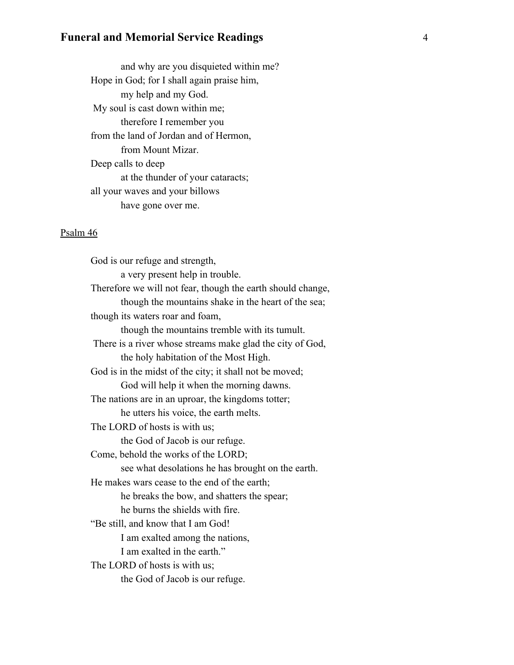and why are you disquieted within me? Hope in God; for I shall again praise him, my help and my God. My soul is cast down within me; therefore I remember you from the land of Jordan and of Hermon, from Mount Mizar. Deep calls to deep at the thunder of your cataracts; all your waves and your billows have gone over me.

### Psalm 46

 God is our refuge and strength, a very present help in trouble. Therefore we will not fear, though the earth should change, though the mountains shake in the heart of the sea; though its waters roar and foam, though the mountains tremble with its tumult. There is a river whose streams make glad the city of God, the holy habitation of the Most High. God is in the midst of the city; it shall not be moved; God will help it when the morning dawns. The nations are in an uproar, the kingdoms totter; he utters his voice, the earth melts. The LORD of hosts is with us; the God of Jacob is our refuge. Come, behold the works of the LORD; see what desolations he has brought on the earth. He makes wars cease to the end of the earth; he breaks the bow, and shatters the spear; he burns the shields with fire. "Be still, and know that I am God! I am exalted among the nations, I am exalted in the earth." The LORD of hosts is with us; the God of Jacob is our refuge.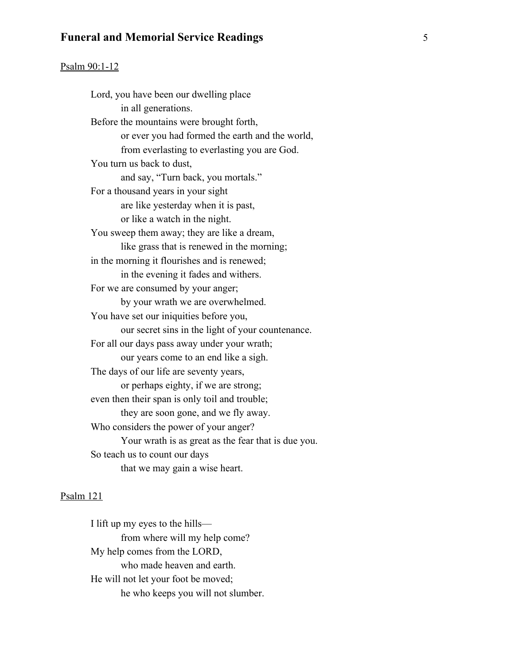#### Psalm 90:1-12

Lord, you have been our dwelling place in all generations. Before the mountains were brought forth, or ever you had formed the earth and the world, from everlasting to everlasting you are God. You turn us back to dust, and say, "Turn back, you mortals." For a thousand years in your sight are like yesterday when it is past, or like a watch in the night. You sweep them away; they are like a dream, like grass that is renewed in the morning; in the morning it flourishes and is renewed; in the evening it fades and withers. For we are consumed by your anger; by your wrath we are overwhelmed. You have set our iniquities before you, our secret sins in the light of your countenance. For all our days pass away under your wrath; our years come to an end like a sigh. The days of our life are seventy years, or perhaps eighty, if we are strong; even then their span is only toil and trouble; they are soon gone, and we fly away. Who considers the power of your anger? Your wrath is as great as the fear that is due you. So teach us to count our days that we may gain a wise heart.

#### Psalm 121

I lift up my eyes to the hills from where will my help come? My help comes from the LORD, who made heaven and earth. He will not let your foot be moved; he who keeps you will not slumber.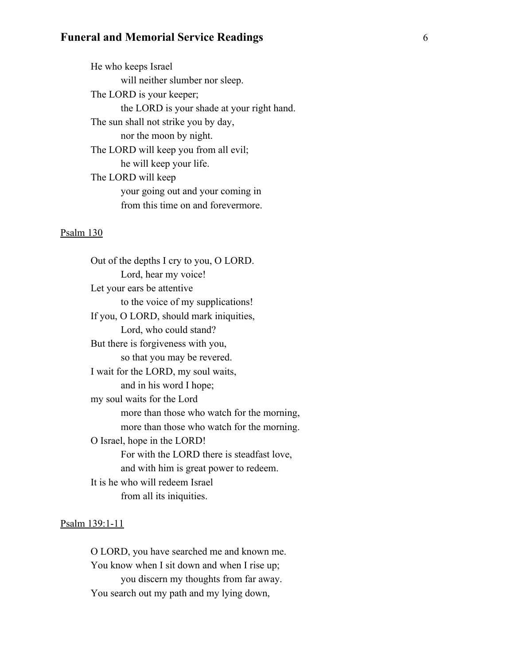He who keeps Israel will neither slumber nor sleep. The LORD is your keeper; the LORD is your shade at your right hand. The sun shall not strike you by day, nor the moon by night. The LORD will keep you from all evil; he will keep your life. The LORD will keep your going out and your coming in from this time on and forevermore.

#### Psalm 130

 Out of the depths I cry to you, O LORD. Lord, hear my voice! Let your ears be attentive to the voice of my supplications! If you, O LORD, should mark iniquities, Lord, who could stand? But there is forgiveness with you, so that you may be revered. I wait for the LORD, my soul waits, and in his word I hope; my soul waits for the Lord more than those who watch for the morning, more than those who watch for the morning. O Israel, hope in the LORD! For with the LORD there is steadfast love, and with him is great power to redeem. It is he who will redeem Israel from all its iniquities.

#### Psalm 139:1-11

O LORD, you have searched me and known me. You know when I sit down and when I rise up; you discern my thoughts from far away. You search out my path and my lying down,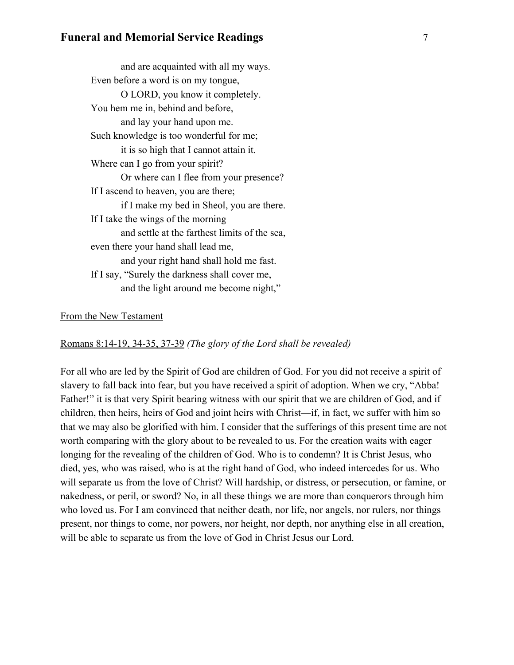| and are acquainted with all my ways.           |
|------------------------------------------------|
| Even before a word is on my tongue,            |
| O LORD, you know it completely.                |
| You hem me in, behind and before,              |
| and lay your hand upon me.                     |
| Such knowledge is too wonderful for me;        |
| it is so high that I cannot attain it.         |
| Where can I go from your spirit?               |
| Or where can I flee from your presence?        |
| If I ascend to heaven, you are there;          |
| if I make my bed in Sheol, you are there.      |
| If I take the wings of the morning             |
| and settle at the farthest limits of the sea,  |
| even there your hand shall lead me,            |
| and your right hand shall hold me fast.        |
| If I say, "Surely the darkness shall cover me, |
| and the light around me become night,"         |
|                                                |

### From the New Testament

### Romans 8:14-19, 34-35, 37-39 *(The glory of the Lord shall be revealed)*

For all who are led by the Spirit of God are children of God. For you did not receive a spirit of slavery to fall back into fear, but you have received a spirit of adoption. When we cry, "Abba! Father!" it is that very Spirit bearing witness with our spirit that we are children of God, and if children, then heirs, heirs of God and joint heirs with Christ—if, in fact, we suffer with him so that we may also be glorified with him. I consider that the sufferings of this present time are not worth comparing with the glory about to be revealed to us. For the creation waits with eager longing for the revealing of the children of God. Who is to condemn? It is Christ Jesus, who died, yes, who was raised, who is at the right hand of God, who indeed intercedes for us. Who will separate us from the love of Christ? Will hardship, or distress, or persecution, or famine, or nakedness, or peril, or sword? No, in all these things we are more than conquerors through him who loved us. For I am convinced that neither death, nor life, nor angels, nor rulers, nor things present, nor things to come, nor powers, nor height, nor depth, nor anything else in all creation, will be able to separate us from the love of God in Christ Jesus our Lord.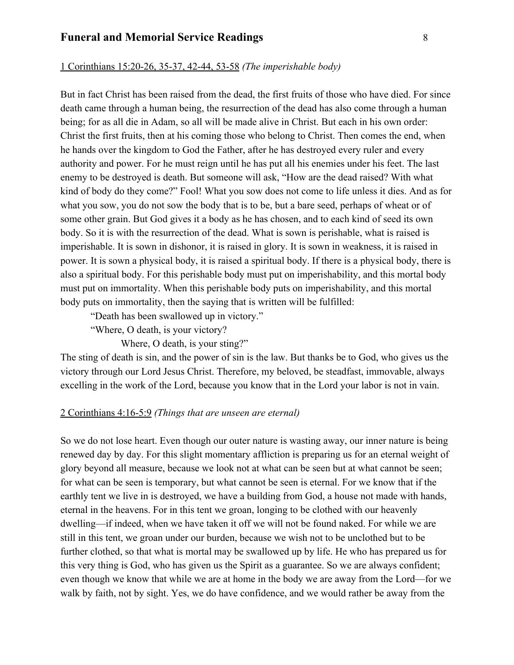#### 1 Corinthians 15:20-26, 35-37, 42-44, 53-58 *(The imperishable body)*

But in fact Christ has been raised from the dead, the first fruits of those who have died. For since death came through a human being, the resurrection of the dead has also come through a human being; for as all die in Adam, so all will be made alive in Christ. But each in his own order: Christ the first fruits, then at his coming those who belong to Christ. Then comes the end, when he hands over the kingdom to God the Father, after he has destroyed every ruler and every authority and power. For he must reign until he has put all his enemies under his feet. The last enemy to be destroyed is death. But someone will ask, "How are the dead raised? With what kind of body do they come?" Fool! What you sow does not come to life unless it dies. And as for what you sow, you do not sow the body that is to be, but a bare seed, perhaps of wheat or of some other grain. But God gives it a body as he has chosen, and to each kind of seed its own body. So it is with the resurrection of the dead. What is sown is perishable, what is raised is imperishable. It is sown in dishonor, it is raised in glory. It is sown in weakness, it is raised in power. It is sown a physical body, it is raised a spiritual body. If there is a physical body, there is also a spiritual body. For this perishable body must put on imperishability, and this mortal body must put on immortality. When this perishable body puts on imperishability, and this mortal body puts on immortality, then the saying that is written will be fulfilled:

"Death has been swallowed up in victory."

"Where, O death, is your victory?

Where, O death, is your sting?"

The sting of death is sin, and the power of sin is the law. But thanks be to God, who gives us the victory through our Lord Jesus Christ. Therefore, my beloved, be steadfast, immovable, always excelling in the work of the Lord, because you know that in the Lord your labor is not in vain.

#### 2 Corinthians 4:16-5:9 *(Things that are unseen are eternal)*

So we do not lose heart. Even though our outer nature is wasting away, our inner nature is being renewed day by day. For this slight momentary affliction is preparing us for an eternal weight of glory beyond all measure, because we look not at what can be seen but at what cannot be seen; for what can be seen is temporary, but what cannot be seen is eternal. For we know that if the earthly tent we live in is destroyed, we have a building from God, a house not made with hands, eternal in the heavens. For in this tent we groan, longing to be clothed with our heavenly dwelling—if indeed, when we have taken it off we will not be found naked. For while we are still in this tent, we groan under our burden, because we wish not to be unclothed but to be further clothed, so that what is mortal may be swallowed up by life. He who has prepared us for this very thing is God, who has given us the Spirit as a guarantee. So we are always confident; even though we know that while we are at home in the body we are away from the Lord—for we walk by faith, not by sight. Yes, we do have confidence, and we would rather be away from the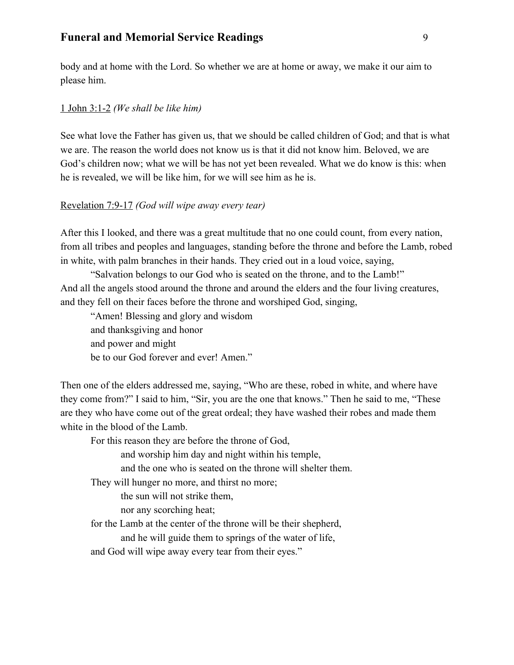body and at home with the Lord. So whether we are at home or away, we make it our aim to please him.

### 1 John 3:1-2 *(We shall be like him)*

See what love the Father has given us, that we should be called children of God; and that is what we are. The reason the world does not know us is that it did not know him. Beloved, we are God's children now; what we will be has not yet been revealed. What we do know is this: when he is revealed, we will be like him, for we will see him as he is.

### Revelation 7:9-17 *(God will wipe away every tear)*

After this I looked, and there was a great multitude that no one could count, from every nation, from all tribes and peoples and languages, standing before the throne and before the Lamb, robed in white, with palm branches in their hands. They cried out in a loud voice, saying,

"Salvation belongs to our God who is seated on the throne, and to the Lamb!" And all the angels stood around the throne and around the elders and the four living creatures, and they fell on their faces before the throne and worshiped God, singing,

"Amen! Blessing and glory and wisdom and thanksgiving and honor and power and might be to our God forever and ever! Amen."

Then one of the elders addressed me, saying, "Who are these, robed in white, and where have they come from?" I said to him, "Sir, you are the one that knows." Then he said to me, "These are they who have come out of the great ordeal; they have washed their robes and made them white in the blood of the Lamb.

For this reason they are before the throne of God,

and worship him day and night within his temple,

and the one who is seated on the throne will shelter them.

They will hunger no more, and thirst no more;

the sun will not strike them,

nor any scorching heat;

for the Lamb at the center of the throne will be their shepherd,

and he will guide them to springs of the water of life,

and God will wipe away every tear from their eyes."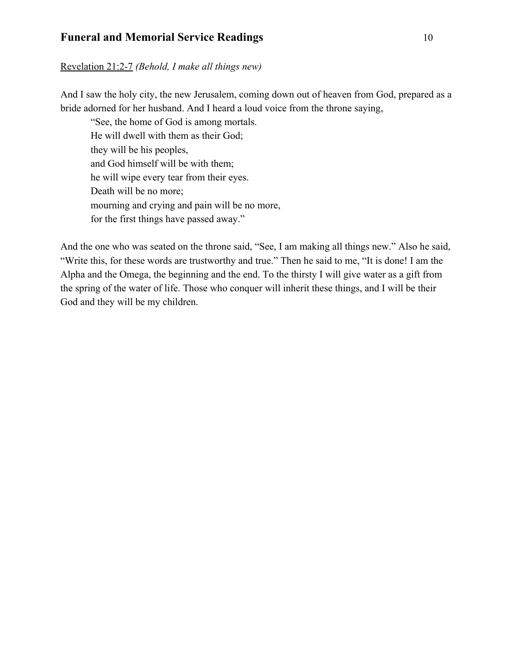### Revelation 21:2-7 *(Behold, I make all things new)*

And I saw the holy city, the new Jerusalem, coming down out of heaven from God, prepared as a bride adorned for her husband. And I heard a loud voice from the throne saying,

"See, the home of God is among mortals. He will dwell with them as their God; they will be his peoples, and God himself will be with them; he will wipe every tear from their eyes. Death will be no more; mourning and crying and pain will be no more, for the first things have passed away."

And the one who was seated on the throne said, "See, I am making all things new." Also he said, "Write this, for these words are trustworthy and true." Then he said to me, "It is done! I am the Alpha and the Omega, the beginning and the end. To the thirsty I will give water as a gift from the spring of the water of life. Those who conquer will inherit these things, and I will be their God and they will be my children.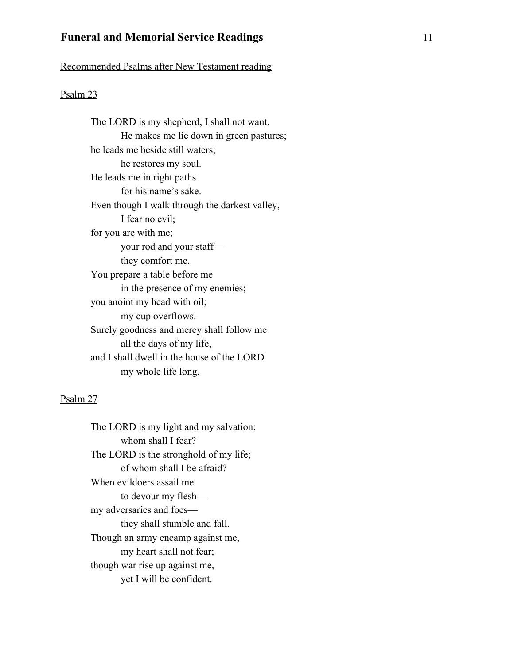Recommended Psalms after New Testament reading

### Psalm 23

 The LORD is my shepherd, I shall not want. He makes me lie down in green pastures; he leads me beside still waters; he restores my soul. He leads me in right paths for his name's sake. Even though I walk through the darkest valley, I fear no evil; for you are with me; your rod and your staff they comfort me. You prepare a table before me in the presence of my enemies; you anoint my head with oil; my cup overflows. Surely goodness and mercy shall follow me all the days of my life, and I shall dwell in the house of the LORD my whole life long.

#### Psalm 27

 The LORD is my light and my salvation; whom shall I fear? The LORD is the stronghold of my life; of whom shall I be afraid? When evildoers assail me to devour my flesh my adversaries and foes they shall stumble and fall. Though an army encamp against me, my heart shall not fear; though war rise up against me, yet I will be confident.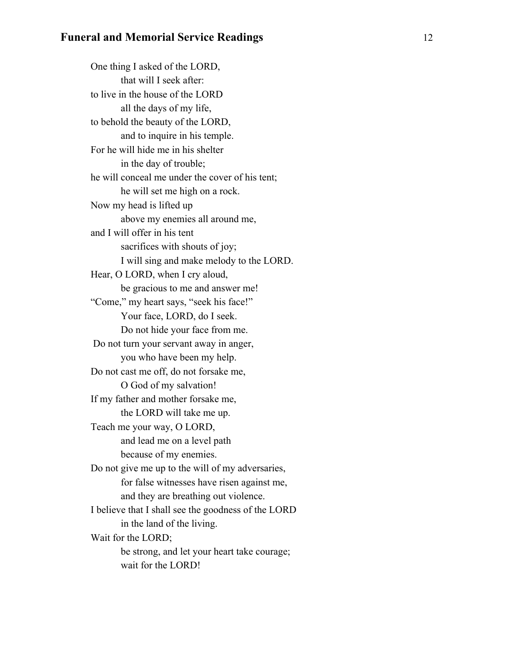One thing I asked of the LORD, that will I seek after: to live in the house of the LORD all the days of my life, to behold the beauty of the LORD, and to inquire in his temple. For he will hide me in his shelter in the day of trouble; he will conceal me under the cover of his tent; he will set me high on a rock. Now my head is lifted up above my enemies all around me, and I will offer in his tent sacrifices with shouts of joy; I will sing and make melody to the LORD. Hear, O LORD, when I cry aloud, be gracious to me and answer me! "Come," my heart says, "seek his face!" Your face, LORD, do I seek. Do not hide your face from me. Do not turn your servant away in anger, you who have been my help. Do not cast me off, do not forsake me, O God of my salvation! If my father and mother forsake me, the LORD will take me up. Teach me your way, O LORD, and lead me on a level path because of my enemies. Do not give me up to the will of my adversaries, for false witnesses have risen against me, and they are breathing out violence. I believe that I shall see the goodness of the LORD in the land of the living. Wait for the LORD; be strong, and let your heart take courage; wait for the LORD!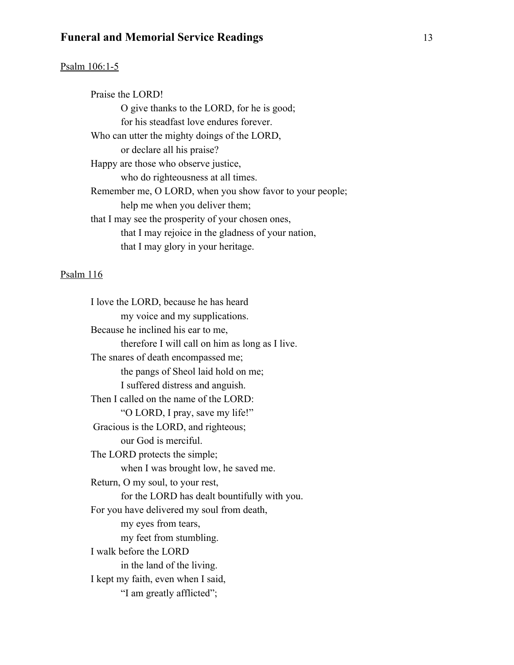#### Psalm 106:1-5

Praise the LORD! O give thanks to the LORD, for he is good; for his steadfast love endures forever. Who can utter the mighty doings of the LORD, or declare all his praise? Happy are those who observe justice, who do righteousness at all times. Remember me, O LORD, when you show favor to your people; help me when you deliver them; that I may see the prosperity of your chosen ones, that I may rejoice in the gladness of your nation, that I may glory in your heritage.

### Psalm 116

I love the LORD, because he has heard my voice and my supplications. Because he inclined his ear to me, therefore I will call on him as long as I live. The snares of death encompassed me; the pangs of Sheol laid hold on me; I suffered distress and anguish. Then I called on the name of the LORD: "O LORD, I pray, save my life!" Gracious is the LORD, and righteous; our God is merciful. The LORD protects the simple; when I was brought low, he saved me. Return, O my soul, to your rest, for the LORD has dealt bountifully with you. For you have delivered my soul from death, my eyes from tears, my feet from stumbling. I walk before the LORD in the land of the living. I kept my faith, even when I said, "I am greatly afflicted";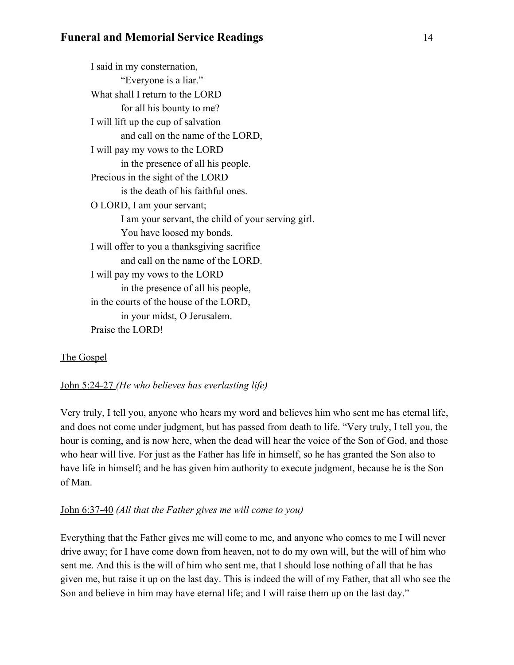I said in my consternation, "Everyone is a liar." What shall I return to the LORD for all his bounty to me? I will lift up the cup of salvation and call on the name of the LORD, I will pay my vows to the LORD in the presence of all his people. Precious in the sight of the LORD is the death of his faithful ones. O LORD, I am your servant; I am your servant, the child of your serving girl. You have loosed my bonds. I will offer to you a thanksgiving sacrifice and call on the name of the LORD. I will pay my vows to the LORD in the presence of all his people, in the courts of the house of the LORD, in your midst, O Jerusalem. Praise the LORD!

# The Gospel

# John 5:24-27 *(He who believes has everlasting life)*

Very truly, I tell you, anyone who hears my word and believes him who sent me has eternal life, and does not come under judgment, but has passed from death to life. "Very truly, I tell you, the hour is coming, and is now here, when the dead will hear the voice of the Son of God, and those who hear will live. For just as the Father has life in himself, so he has granted the Son also to have life in himself; and he has given him authority to execute judgment, because he is the Son of Man.

# John 6:37-40 *(All that the Father gives me will come to you)*

Everything that the Father gives me will come to me, and anyone who comes to me I will never drive away; for I have come down from heaven, not to do my own will, but the will of him who sent me. And this is the will of him who sent me, that I should lose nothing of all that he has given me, but raise it up on the last day. This is indeed the will of my Father, that all who see the Son and believe in him may have eternal life; and I will raise them up on the last day."